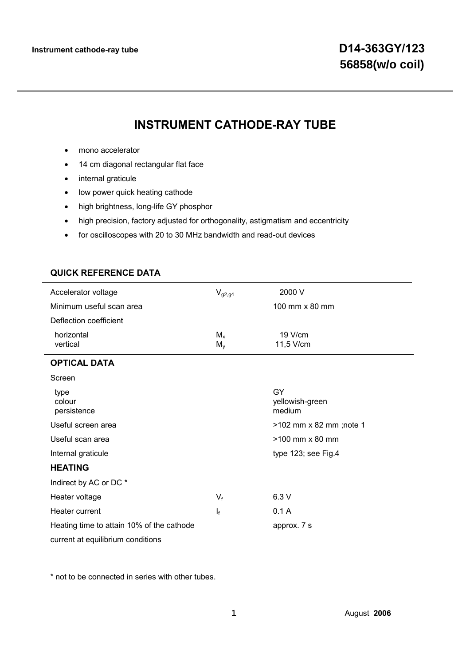# **INSTRUMENT CATHODE-RAY TUBE**

- mono accelerator
- 14 cm diagonal rectangular flat face
- internal graticule
- low power quick heating cathode
- high brightness, long-life GY phosphor
- high precision, factory adjusted for orthogonality, astigmatism and eccentricity
- for oscilloscopes with 20 to 30 MHz bandwidth and read-out devices

| Accelerator voltage                       | $V_{g2,g4}$               | 2000 V                          |
|-------------------------------------------|---------------------------|---------------------------------|
| Minimum useful scan area                  |                           | 100 mm x 80 mm                  |
| Deflection coefficient                    |                           |                                 |
| horizontal<br>vertical                    | $M_{x}$<br>$M_{\rm v}$    | 19 V/cm<br>11,5 V/cm            |
| <b>OPTICAL DATA</b>                       |                           |                                 |
| Screen                                    |                           |                                 |
| type<br>colour<br>persistence             |                           | GY<br>yellowish-green<br>medium |
| Useful screen area                        |                           | >102 mm x 82 mm ;note 1         |
| Useful scan area                          |                           | $>100$ mm $\times$ 80 mm        |
| Internal graticule                        |                           | type 123; see Fig.4             |
| <b>HEATING</b>                            |                           |                                 |
| Indirect by AC or DC *                    |                           |                                 |
| Heater voltage                            | $V_f$                     | 6.3V                            |
| Heater current                            | $\mathsf{I}_{\mathsf{f}}$ | 0.1A                            |
| Heating time to attain 10% of the cathode |                           | approx. 7 s                     |
| current at equilibrium conditions         |                           |                                 |

# **QUICK REFERENCE DATA**

\* not to be connected in series with other tubes.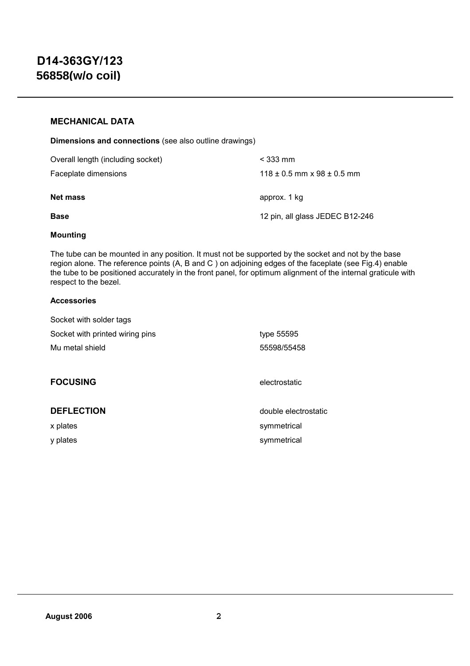# **MECHANICAL DATA**

**Dimensions and connections** (see also outline drawings)

| Overall length (including socket) | $<$ 333 mm                         |
|-----------------------------------|------------------------------------|
| Faceplate dimensions              | $118 \pm 0.5$ mm x 98 $\pm$ 0.5 mm |
| <b>Net mass</b>                   | approx. 1 kg                       |
| <b>Base</b>                       | 12 pin, all glass JEDEC B12-246    |

#### **Mounting**

The tube can be mounted in any position. It must not be supported by the socket and not by the base region alone. The reference points (A, B and C ) on adjoining edges of the faceplate (see Fig.4) enable the tube to be positioned accurately in the front panel, for optimum alignment of the internal graticule with respect to the bezel.

#### **Accessories**

| Socket with solder tags         |                      |
|---------------------------------|----------------------|
| Socket with printed wiring pins | type 55595           |
| Mu metal shield                 | 55598/55458          |
| <b>FOCUSING</b>                 | electrostatic        |
| <b>DEFLECTION</b>               | double electrostatic |
| x plates                        | symmetrical          |
| y plates                        | symmetrical          |
|                                 |                      |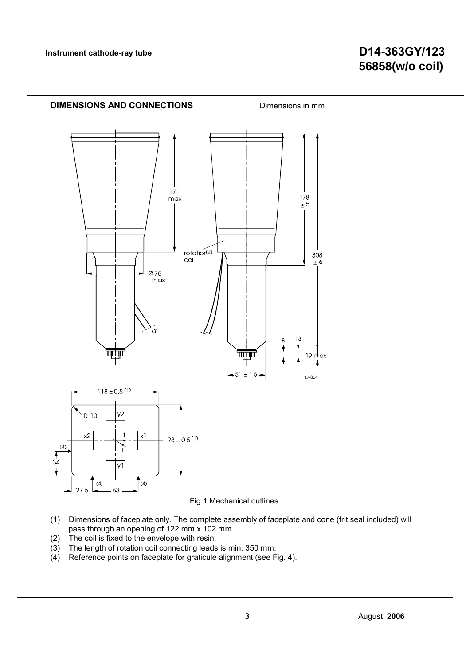

- Fig.1 Mechanical outlines.
- (1) Dimensions of faceplate only. The complete assembly of faceplate and cone (frit seal included) will pass through an opening of 122 mm x 102 mm.
- (2) The coil is fixed to the envelope with resin.
- (3) The length of rotation coil connecting leads is min. 350 mm.
- (4) Reference points on faceplate for graticule alignment (see Fig. 4).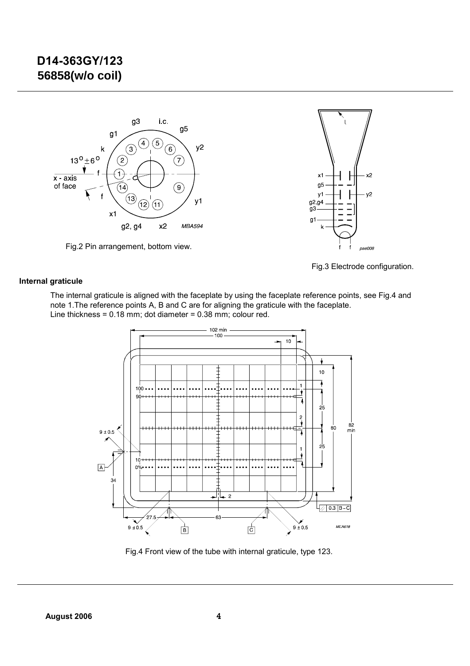





Fig.3 Electrode configuration.

### **Internal graticule**

The internal graticule is aligned with the faceplate by using the faceplate reference points, see Fig.4 and note 1.The reference points A, B and C are for aligning the graticule with the faceplate. Line thickness = 0.18 mm; dot diameter = 0.38 mm; colour red.



Fig.4 Front view of the tube with internal graticule, type 123.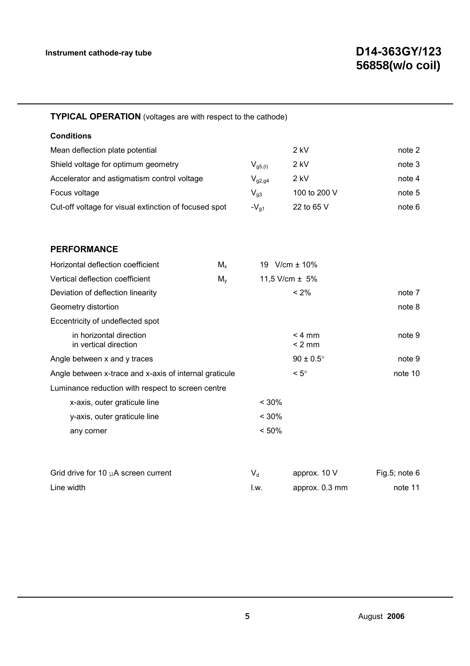| <b>TYPICAL OPERATION</b> (voltages are with respect to the cathode) |             |              |                      |               |
|---------------------------------------------------------------------|-------------|--------------|----------------------|---------------|
| <b>Conditions</b>                                                   |             |              |                      |               |
| Mean deflection plate potential                                     |             |              | $2$ kV               | note 2        |
| Shield voltage for optimum geometry                                 |             | $V_{g5,(I)}$ | $2$ kV               | note 3        |
| Accelerator and astigmatism control voltage                         |             | $V_{q2,q4}$  | $2$ kV               | note 4        |
| Focus voltage                                                       |             | $V_{g3}$     | 100 to 200 V         | note 5        |
| Cut-off voltage for visual extinction of focused spot               |             | $-V_{g1}$    | 22 to 65 V           | note 6        |
|                                                                     |             |              |                      |               |
| <b>PERFORMANCE</b>                                                  |             |              |                      |               |
| Horizontal deflection coefficient                                   | $M_{x}$     |              | 19 V/cm ± 10%        |               |
| Vertical deflection coefficient                                     | $M_{\rm v}$ |              | 11,5 V/cm $\pm$ 5%   |               |
| Deviation of deflection linearity                                   |             |              | $< 2\%$              | note 7        |
| Geometry distortion                                                 |             |              |                      | note 8        |
| Eccentricity of undeflected spot                                    |             |              |                      |               |
| in horizontal direction<br>in vertical direction                    |             |              | < 4 mm<br>$< 2$ mm   | note 9        |
| Angle between x and y traces                                        |             |              | $90 \pm 0.5^{\circ}$ | note 9        |
| Angle between x-trace and x-axis of internal graticule              |             |              | $< 5^{\circ}$        | note 10       |
| Luminance reduction with respect to screen centre                   |             |              |                      |               |
| x-axis, outer graticule line                                        |             | $< 30\%$     |                      |               |
| y-axis, outer graticule line                                        |             | $< 30\%$     |                      |               |
| any corner                                                          |             | < 50%        |                      |               |
|                                                                     |             |              |                      |               |
| Grid drive for 10 $\mu$ A screen current                            |             | $V_{d}$      | approx. 10 V         | Fig.5; note 6 |
| Line width                                                          |             | I.w.         | approx. 0.3 mm       | note 11       |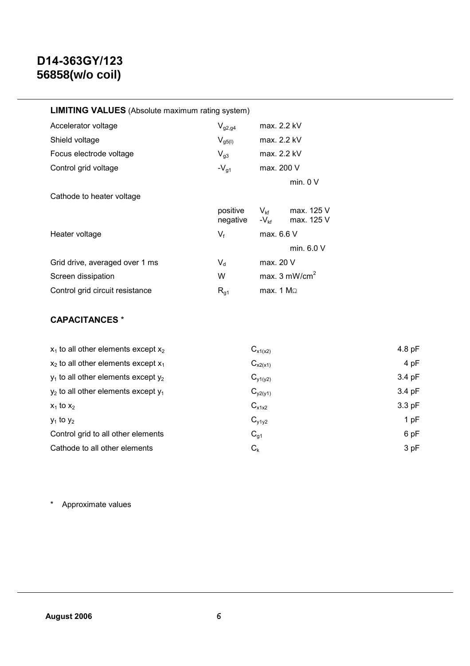| <b>LIMITING VALUES</b> (Absolute maximum rating system) |                      |                          |                                                        |
|---------------------------------------------------------|----------------------|--------------------------|--------------------------------------------------------|
| Accelerator voltage                                     | $V_{q2,q4}$          | max. 2.2 kV              |                                                        |
| Shield voltage                                          | $V_{g5(l)}$          | max. 2.2 kV              |                                                        |
| Focus electrode voltage                                 | $V_{q3}$             | max. 2.2 kV              |                                                        |
| Control grid voltage                                    | $-V_{g1}$            | max. 200 V               |                                                        |
|                                                         |                      |                          | min. 0 V                                               |
| Cathode to heater voltage                               |                      |                          |                                                        |
|                                                         | positive<br>negative |                          | $V_{\rm kf}$ max. 125 V<br>$-V_{\text{kf}}$ max. 125 V |
| Heater voltage                                          | $V_{\rm f}$          | max. 6.6 V               |                                                        |
|                                                         |                      |                          | min. 6.0 V                                             |
| Grid drive, averaged over 1 ms                          | $V_{d}$              | max. 20 V                |                                                        |
| Screen dissipation                                      | W                    | max. $3 \text{ mW/cm}^2$ |                                                        |
| Control grid circuit resistance                         | $R_{q1}$             | max. 1 $M\Omega$         |                                                        |

# **CAPACITANCES** \*

| $x_1$ to all other elements except $x_2$ | $C_{x1(x2)}$ | 4.8 pF |
|------------------------------------------|--------------|--------|
| $x_2$ to all other elements except $x_1$ | $C_{x2(x1)}$ | 4 pF   |
| $y_1$ to all other elements except $y_2$ | $C_{y1(y2)}$ | 3.4 pF |
| $y_2$ to all other elements except $y_1$ | $C_{y2(y1)}$ | 3.4 pF |
| $x_1$ to $x_2$                           | $C_{x1x2}$   | 3.3pF  |
| $y_1$ to $y_2$                           | $C_{y1y2}$   | 1 pF   |
| Control grid to all other elements       | $C_{g1}$     | 6 pF   |
| Cathode to all other elements            | $C_{k}$      | 3pF    |

\* Approximate values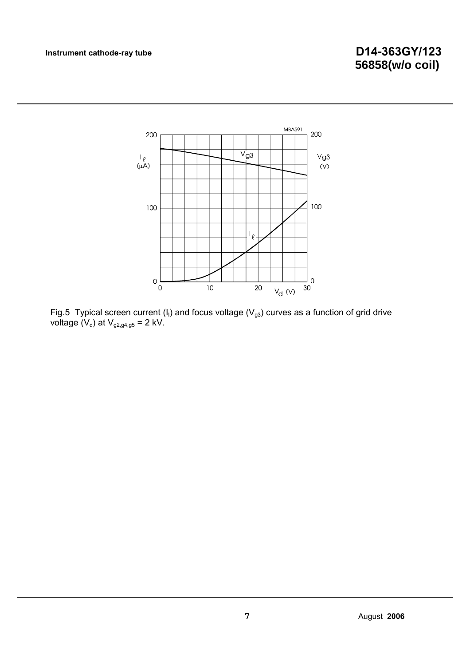

Fig.5 Typical screen current (I<sub>I</sub>) and focus voltage (V<sub>g3</sub>) curves as a function of grid drive voltage  $(V_d)$  at  $V_{g2,g4,g5}$  = 2 kV.